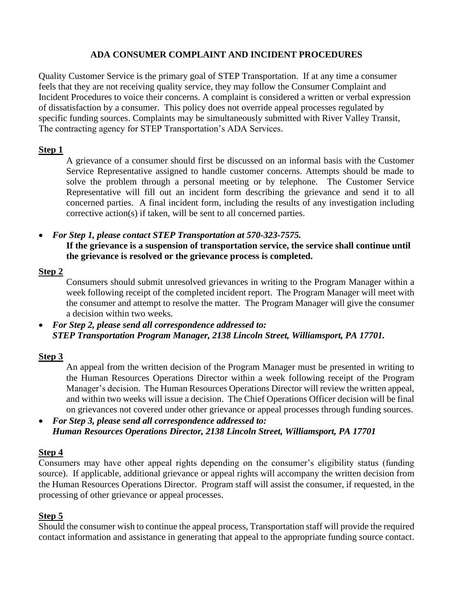### **ADA CONSUMER COMPLAINT AND INCIDENT PROCEDURES**

Quality Customer Service is the primary goal of STEP Transportation. If at any time a consumer feels that they are not receiving quality service, they may follow the Consumer Complaint and Incident Procedures to voice their concerns. A complaint is considered a written or verbal expression of dissatisfaction by a consumer. This policy does not override appeal processes regulated by specific funding sources. Complaints may be simultaneously submitted with River Valley Transit, The contracting agency for STEP Transportation's ADA Services.

#### **Step 1**

A grievance of a consumer should first be discussed on an informal basis with the Customer Service Representative assigned to handle customer concerns. Attempts should be made to solve the problem through a personal meeting or by telephone. The Customer Service Representative will fill out an incident form describing the grievance and send it to all concerned parties. A final incident form, including the results of any investigation including corrective action(s) if taken, will be sent to all concerned parties.

• *For Step 1, please contact STEP Transportation at 570-323-7575.* **If the grievance is a suspension of transportation service, the service shall continue until the grievance is resolved or the grievance process is completed.**

### **Step 2**

Consumers should submit unresolved grievances in writing to the Program Manager within a week following receipt of the completed incident report. The Program Manager will meet with the consumer and attempt to resolve the matter. The Program Manager will give the consumer a decision within two weeks.

• *For Step 2, please send all correspondence addressed to: STEP Transportation Program Manager, 2138 Lincoln Street, Williamsport, PA 17701.*

## **Step 3**

An appeal from the written decision of the Program Manager must be presented in writing to the Human Resources Operations Director within a week following receipt of the Program Manager's decision. The Human Resources Operations Director will review the written appeal, and within two weeks will issue a decision. The Chief Operations Officer decision will be final on grievances not covered under other grievance or appeal processes through funding sources.

• *For Step 3, please send all correspondence addressed to: Human Resources Operations Director, 2138 Lincoln Street, Williamsport, PA 17701*

#### **Step 4**

Consumers may have other appeal rights depending on the consumer's eligibility status (funding source). If applicable, additional grievance or appeal rights will accompany the written decision from the Human Resources Operations Director. Program staff will assist the consumer, if requested, in the processing of other grievance or appeal processes.

## **Step 5**

Should the consumer wish to continue the appeal process, Transportation staff will provide the required contact information and assistance in generating that appeal to the appropriate funding source contact.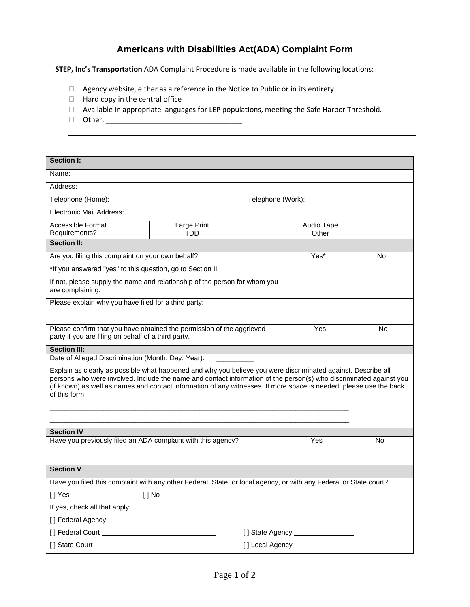# **Americans with Disabilities Act(ADA) Complaint Form**

**STEP, Inc's Transportation** ADA Complaint Procedure is made available in the following locations:

- $\Box$  Agency website, either as a reference in the Notice to Public or in its entirety
- $\Box$  Hard copy in the central office
- Available in appropriate languages for LEP populations, meeting the Safe Harbor Threshold.
- Other, \_\_\_\_\_\_\_\_\_\_\_\_\_\_\_\_\_\_\_\_\_\_\_\_\_\_\_\_\_\_\_\_\_\_

| Section I:                                                                                                                                                                                                                                                                                                                                                                 |             |                              |            |    |  |
|----------------------------------------------------------------------------------------------------------------------------------------------------------------------------------------------------------------------------------------------------------------------------------------------------------------------------------------------------------------------------|-------------|------------------------------|------------|----|--|
| Name:                                                                                                                                                                                                                                                                                                                                                                      |             |                              |            |    |  |
| Address:                                                                                                                                                                                                                                                                                                                                                                   |             |                              |            |    |  |
| Telephone (Home):<br>Telephone (Work):                                                                                                                                                                                                                                                                                                                                     |             |                              |            |    |  |
| Electronic Mail Address:                                                                                                                                                                                                                                                                                                                                                   |             |                              |            |    |  |
| Accessible Format                                                                                                                                                                                                                                                                                                                                                          | Large Print |                              | Audio Tape |    |  |
| Requirements?                                                                                                                                                                                                                                                                                                                                                              | <b>TDD</b>  |                              | Other      |    |  |
| <b>Section II:</b>                                                                                                                                                                                                                                                                                                                                                         |             |                              |            |    |  |
| Are you filing this complaint on your own behalf?                                                                                                                                                                                                                                                                                                                          |             |                              | Yes*       | No |  |
| *If you answered "yes" to this question, go to Section III.                                                                                                                                                                                                                                                                                                                |             |                              |            |    |  |
| If not, please supply the name and relationship of the person for whom you<br>are complaining:                                                                                                                                                                                                                                                                             |             |                              |            |    |  |
| Please explain why you have filed for a third party:                                                                                                                                                                                                                                                                                                                       |             |                              |            |    |  |
|                                                                                                                                                                                                                                                                                                                                                                            |             |                              |            |    |  |
| Please confirm that you have obtained the permission of the aggrieved<br>party if you are filing on behalf of a third party.                                                                                                                                                                                                                                               |             |                              | Yes        | No |  |
| <b>Section III:</b>                                                                                                                                                                                                                                                                                                                                                        |             |                              |            |    |  |
| Date of Alleged Discrimination (Month, Day, Year):                                                                                                                                                                                                                                                                                                                         |             |                              |            |    |  |
| Explain as clearly as possible what happened and why you believe you were discriminated against. Describe all<br>persons who were involved. Include the name and contact information of the person(s) who discriminated against you<br>(if known) as well as names and contact information of any witnesses. If more space is needed, please use the back<br>of this form. |             |                              |            |    |  |
| <b>Section IV</b>                                                                                                                                                                                                                                                                                                                                                          |             |                              |            |    |  |
| Have you previously filed an ADA complaint with this agency?                                                                                                                                                                                                                                                                                                               |             |                              | Yes        | No |  |
| <b>Section V</b>                                                                                                                                                                                                                                                                                                                                                           |             |                              |            |    |  |
| Have you filed this complaint with any other Federal, State, or local agency, or with any Federal or State court?                                                                                                                                                                                                                                                          |             |                              |            |    |  |
| [] Yes<br>$[ ]$ No                                                                                                                                                                                                                                                                                                                                                         |             |                              |            |    |  |
| If yes, check all that apply:                                                                                                                                                                                                                                                                                                                                              |             |                              |            |    |  |
|                                                                                                                                                                                                                                                                                                                                                                            |             |                              |            |    |  |
|                                                                                                                                                                                                                                                                                                                                                                            |             | [] State Agency ____________ |            |    |  |
| I I State Court<br>[] Local Agency _                                                                                                                                                                                                                                                                                                                                       |             |                              |            |    |  |